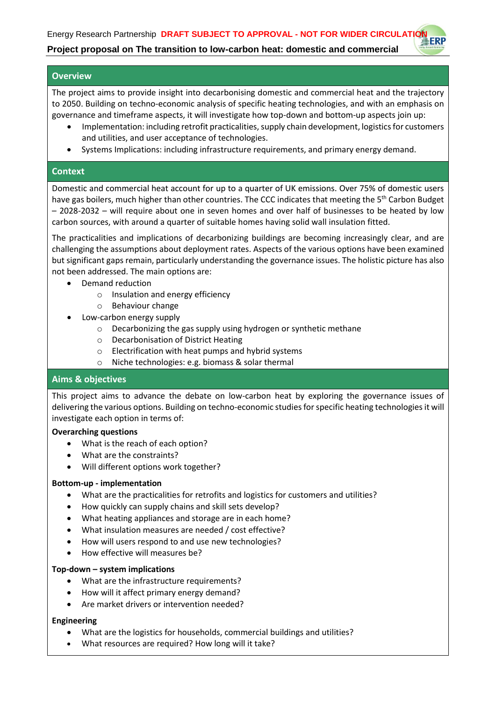# **Project proposal on The transition to low-carbon heat: domestic and commercial**

#### **Overview**

The project aims to provide insight into decarbonising domestic and commercial heat and the trajectory to 2050. Building on techno-economic analysis of specific heating technologies, and with an emphasis on governance and timeframe aspects, it will investigate how top-down and bottom-up aspects join up:

- Implementation: including retrofit practicalities, supply chain development, logistics for customers and utilities, and user acceptance of technologies.
- Systems Implications: including infrastructure requirements, and primary energy demand.

#### **Context**

Domestic and commercial heat account for up to a quarter of UK emissions. Over 75% of domestic users have gas boilers, much higher than other countries. The CCC indicates that meeting the 5<sup>th</sup> Carbon Budget – 2028-2032 – will require about one in seven homes and over half of businesses to be heated by low carbon sources, with around a quarter of suitable homes having solid wall insulation fitted.

The practicalities and implications of decarbonizing buildings are becoming increasingly clear, and are challenging the assumptions about deployment rates. Aspects of the various options have been examined but significant gaps remain, particularly understanding the governance issues. The holistic picture has also not been addressed. The main options are:

- Demand reduction
	- o Insulation and energy efficiency
	- o Behaviour change
- Low-carbon energy supply
	- o Decarbonizing the gas supply using hydrogen or synthetic methane
	- o Decarbonisation of District Heating
	- o Electrification with heat pumps and hybrid systems
	- o Niche technologies: e.g. biomass & solar thermal

#### **Aims & objectives**

This project aims to advance the debate on low-carbon heat by exploring the governance issues of delivering the various options. Building on techno-economic studies for specific heating technologies it will investigate each option in terms of:

#### **Overarching questions**

- What is the reach of each option?
- What are the constraints?
- Will different options work together?

#### **Bottom-up - implementation**

- What are the practicalities for retrofits and logistics for customers and utilities?
- How quickly can supply chains and skill sets develop?
- What heating appliances and storage are in each home?
- What insulation measures are needed / cost effective?
- How will users respond to and use new technologies?
- How effective will measures be?

#### **Top-down – system implications**

- What are the infrastructure requirements?
- How will it affect primary energy demand?
- Are market drivers or intervention needed?

#### **Engineering**

- What are the logistics for households, commercial buildings and utilities?
- What resources are required? How long will it take?